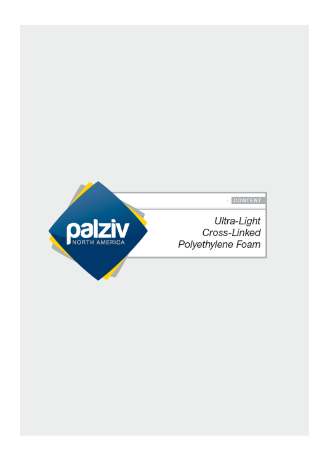

**B** CONTENT

Ultra-Light Cross-Linked Polyethylene Foam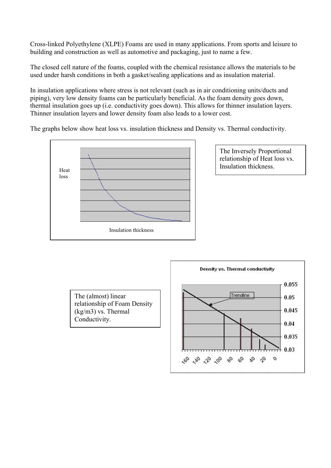Cross-linked Polyethylene (XLPE) Foams are used in many applications. From sports and leisure to building and construction as well as automotive and packaging, just to name a few.

The closed cell nature of the foams, coupled with the chemical resistance allows the materials to be used under harsh conditions in both a gasket/sealing applications and as insulation material.

In insulation applications where stress is not relevant (such as in air conditioning units/ducts and piping), very low density foams can be particularly beneficial. As the foam density goes down, thermal insulation goes up (i.e. conductivity goes down). This allows for thinner insulation layers. Thinner insulation layers and lower density foam also leads to a lower cost.

The graphs below show heat loss vs. insulation thickness and Density vs. Thermal conductivity.



The Inversely Proportional relationship of Heat loss vs. Insulation thickness.

The (almost) linear relationship of Foam Density (kg/m3) vs. Thermal Conductivity.

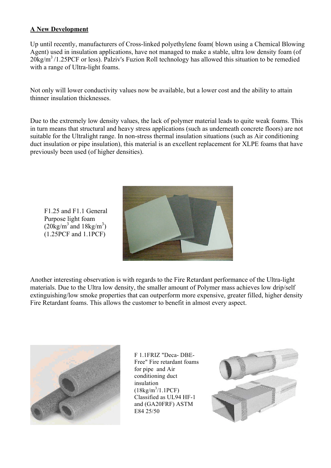## **A New Development**

Up until recently, manufacturers of Cross-linked polyethylene foam( blown using a Chemical Blowing Agent) used in insulation applications, have not managed to make a stable, ultra low density foam (of  $20\text{kg/m}^3$ /1.25PCF or less). Palziv's Fuzion Roll technology has allowed this situation to be remedied with a range of Ultra-light foams.

Not only will lower conductivity values now be available, but a lower cost and the ability to attain thinner insulation thicknesses.

Due to the extremely low density values, the lack of polymer material leads to quite weak foams. This in turn means that structural and heavy stress applications (such as underneath concrete floors) are not suitable for the Ultralight range. In non-stress thermal insulation situations (such as Air conditioning duct insulation or pipe insulation), this material is an excellent replacement for XLPE foams that have previously been used (of higher densities).

F1.25 and F1.1 General Purpose light foam  $(20\text{kg/m}^3 \text{ and } 18\text{kg/m}^3)$ (1.25PCF and 1.1PCF)



Another interesting observation is with regards to the Fire Retardant performance of the Ultra-light materials. Due to the Ultra low density, the smaller amount of Polymer mass achieves low drip/self extinguishing/low smoke properties that can outperform more expensive, greater filled, higher density Fire Retardant foams. This allows the customer to benefit in almost every aspect.



F 1.1FRIZ "Deca- DBE-Free" Fire retardant foams for pipe and Air conditioning duct insulation  $(18kg/m^3/1.1PCF)$ Classified as UL94 HF-1 and (GA20FRF) ASTM E84 25/50